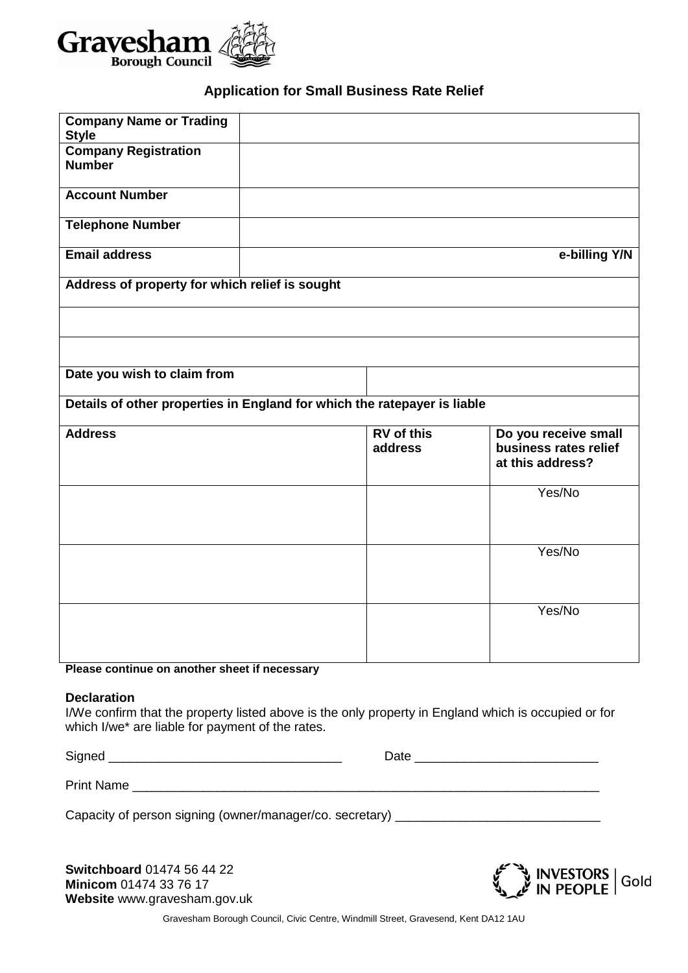

# **Application for Small Business Rate Relief**

| <b>Company Name or Trading</b>                                           |  |                              |                                                                   |
|--------------------------------------------------------------------------|--|------------------------------|-------------------------------------------------------------------|
| <b>Style</b><br><b>Company Registration</b>                              |  |                              |                                                                   |
| <b>Number</b>                                                            |  |                              |                                                                   |
| <b>Account Number</b>                                                    |  |                              |                                                                   |
| <b>Telephone Number</b>                                                  |  |                              |                                                                   |
| <b>Email address</b>                                                     |  |                              | e-billing Y/N                                                     |
| Address of property for which relief is sought                           |  |                              |                                                                   |
|                                                                          |  |                              |                                                                   |
|                                                                          |  |                              |                                                                   |
| Date you wish to claim from                                              |  |                              |                                                                   |
| Details of other properties in England for which the ratepayer is liable |  |                              |                                                                   |
| <b>Address</b>                                                           |  | <b>RV</b> of this<br>address | Do you receive small<br>business rates relief<br>at this address? |
|                                                                          |  |                              | Yes/No                                                            |
|                                                                          |  |                              | Yes/No                                                            |
|                                                                          |  |                              | Yes/No                                                            |
| Please continue on another sheet if necessary                            |  |                              |                                                                   |

**Please continue on another sheet if necessary**

#### **Declaration**

I/We confirm that the property listed above is the only property in England which is occupied or for which I/we\* are liable for payment of the rates.

Signed \_\_\_\_\_\_\_\_\_\_\_\_\_\_\_\_\_\_\_\_\_\_\_\_\_\_\_\_\_\_\_\_\_ Date \_\_\_\_\_\_\_\_\_\_\_\_\_\_\_\_\_\_\_\_\_\_\_\_\_\_

Print Name \_\_\_\_\_\_\_\_\_\_\_\_\_\_\_\_\_\_\_\_\_\_\_\_\_\_\_\_\_\_\_\_\_\_\_\_\_\_\_\_\_\_\_\_\_\_\_\_\_\_\_\_\_\_\_\_\_\_\_\_\_\_\_\_\_\_

Capacity of person signing (owner/manager/co. secretary) \_\_\_\_\_\_\_\_\_\_\_\_\_\_\_\_\_\_\_\_\_\_\_

**Switchboard** 01474 56 44 22 **Minicom** 01474 33 76 17 **Website** www.gravesham.gov.uk